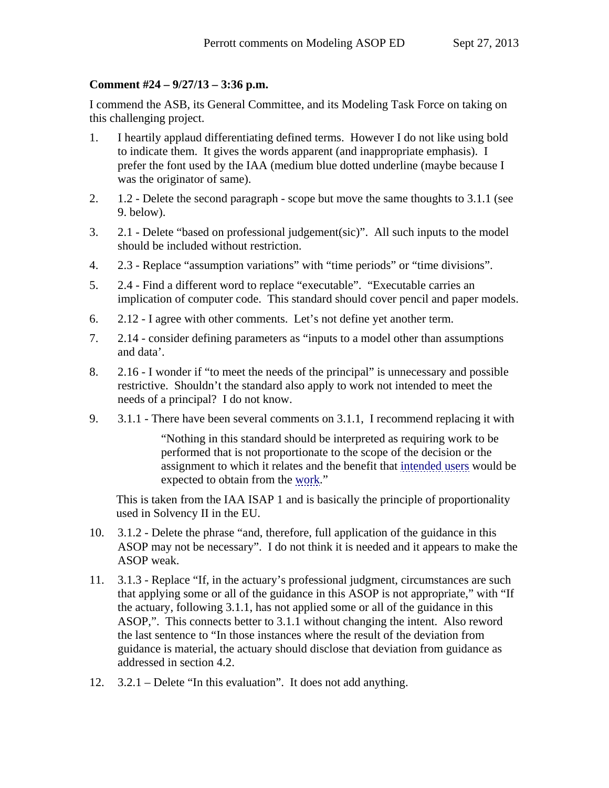## **Comment #24 – 9/27/13 – 3:36 p.m.**

I commend the ASB, its General Committee, and its Modeling Task Force on taking on this challenging project.

- 1. I heartily applaud differentiating defined terms. However I do not like using bold to indicate them. It gives the words apparent (and inappropriate emphasis). I prefer the font used by the IAA (medium blue dotted underline (maybe because I was the originator of same).
- 2. 1.2 Delete the second paragraph scope but move the same thoughts to 3.1.1 (see 9. below).
- 3. 2.1 Delete "based on professional judgement(sic)". All such inputs to the model should be included without restriction.
- 4. 2.3 Replace "assumption variations" with "time periods" or "time divisions".
- 5. 2.4 Find a different word to replace "executable". "Executable carries an implication of computer code. This standard should cover pencil and paper models.
- 6. 2.12 I agree with other comments. Let's not define yet another term.
- 7. 2.14 consider defining parameters as "inputs to a model other than assumptions and data'.
- 8. 2.16 I wonder if "to meet the needs of the principal" is unnecessary and possible restrictive. Shouldn't the standard also apply to work not intended to meet the needs of a principal? I do not know.
- 9. 3.1.1 There have been several comments on 3.1.1, I recommend replacing it with

"Nothing in this standard should be interpreted as requiring work to be performed that is not proportionate to the scope of the decision or the assignment to which it relates and the benefit that intended users would be expected to obtain from the work."

This is taken from the IAA ISAP 1 and is basically the principle of proportionality used in Solvency II in the EU.

- 10. 3.1.2 Delete the phrase "and, therefore, full application of the guidance in this ASOP may not be necessary". I do not think it is needed and it appears to make the ASOP weak.
- 11. 3.1.3 Replace "If, in the actuary's professional judgment, circumstances are such that applying some or all of the guidance in this ASOP is not appropriate," with "If the actuary, following 3.1.1, has not applied some or all of the guidance in this ASOP,". This connects better to 3.1.1 without changing the intent. Also reword the last sentence to "In those instances where the result of the deviation from guidance is material, the actuary should disclose that deviation from guidance as addressed in section 4.2.
- 12. 3.2.1 Delete "In this evaluation". It does not add anything.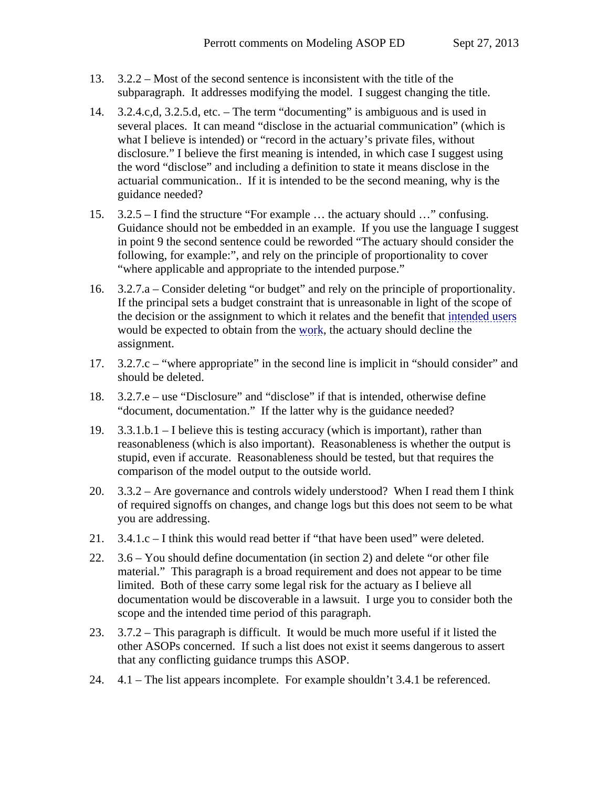- 13. 3.2.2 Most of the second sentence is inconsistent with the title of the subparagraph. It addresses modifying the model. I suggest changing the title.
- 14. 3.2.4.c,d, 3.2.5.d, etc. The term "documenting" is ambiguous and is used in several places. It can meand "disclose in the actuarial communication" (which is what I believe is intended) or "record in the actuary's private files, without disclosure." I believe the first meaning is intended, in which case I suggest using the word "disclose" and including a definition to state it means disclose in the actuarial communication.. If it is intended to be the second meaning, why is the guidance needed?
- 15. 3.2.5 I find the structure "For example … the actuary should …" confusing. Guidance should not be embedded in an example. If you use the language I suggest in point 9 the second sentence could be reworded "The actuary should consider the following, for example:", and rely on the principle of proportionality to cover "where applicable and appropriate to the intended purpose."
- 16. 3.2.7.a Consider deleting "or budget" and rely on the principle of proportionality. If the principal sets a budget constraint that is unreasonable in light of the scope of the decision or the assignment to which it relates and the benefit that intended users would be expected to obtain from the work, the actuary should decline the assignment.
- 17. 3.2.7.c "where appropriate" in the second line is implicit in "should consider" and should be deleted.
- 18. 3.2.7.e use "Disclosure" and "disclose" if that is intended, otherwise define "document, documentation." If the latter why is the guidance needed?
- 19. 3.3.1.b.1 I believe this is testing accuracy (which is important), rather than reasonableness (which is also important). Reasonableness is whether the output is stupid, even if accurate. Reasonableness should be tested, but that requires the comparison of the model output to the outside world.
- 20. 3.3.2 Are governance and controls widely understood? When I read them I think of required signoffs on changes, and change logs but this does not seem to be what you are addressing.
- 21. 3.4.1.c I think this would read better if "that have been used" were deleted.
- 22. 3.6 You should define documentation (in section 2) and delete "or other file material." This paragraph is a broad requirement and does not appear to be time limited. Both of these carry some legal risk for the actuary as I believe all documentation would be discoverable in a lawsuit. I urge you to consider both the scope and the intended time period of this paragraph.
- 23. 3.7.2 This paragraph is difficult. It would be much more useful if it listed the other ASOPs concerned. If such a list does not exist it seems dangerous to assert that any conflicting guidance trumps this ASOP.
- 24. 4.1 The list appears incomplete. For example shouldn't 3.4.1 be referenced.